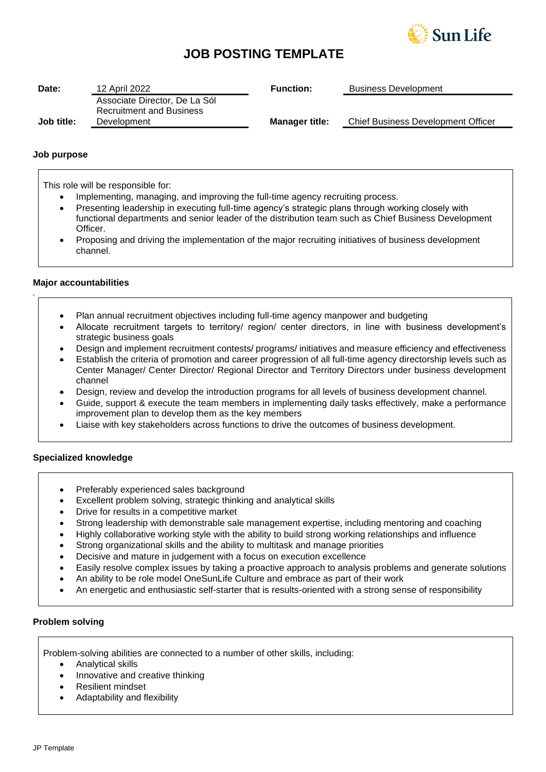

# **JOB POSTING TEMPLATE**

| Date:      | 12 April 2022                                  | <b>Function:</b>      | <b>Business Development</b>        |
|------------|------------------------------------------------|-----------------------|------------------------------------|
|            | Associate Director, De La Sól                  |                       |                                    |
| Job title: | <b>Recruitment and Business</b><br>Development | <b>Manager title:</b> | Chief Business Development Officer |
|            |                                                |                       |                                    |

## **Job purpose**

This role will be responsible for:

- Implementing, managing, and improving the full-time agency recruiting process.
- Presenting leadership in executing full-time agency's strategic plans through working closely with functional departments and senior leader of the distribution team such as Chief Business Development **Officer**
- Proposing and driving the implementation of the major recruiting initiatives of business development channel.

## **Major accountabilities**

*.*

- Plan annual recruitment objectives including full-time agency manpower and budgeting
- Allocate recruitment targets to territory/ region/ center directors, in line with business development's strategic business goals
- Design and implement recruitment contests/ programs/ initiatives and measure efficiency and effectiveness
- Establish the criteria of promotion and career progression of all full-time agency directorship levels such as Center Manager/ Center Director/ Regional Director and Territory Directors under business development channel
- Design, review and develop the introduction programs for all levels of business development channel.
- Guide, support & execute the team members in implementing daily tasks effectively, make a performance improvement plan to develop them as the key members
- Liaise with key stakeholders across functions to drive the outcomes of business development.

## **Specialized knowledge**

- Preferably experienced sales background
- Excellent problem solving, strategic thinking and analytical skills
- Drive for results in a competitive market
- Strong leadership with demonstrable sale management expertise, including mentoring and coaching
- Highly collaborative working style with the ability to build strong working relationships and influence
- Strong organizational skills and the ability to multitask and manage priorities
- Decisive and mature in judgement with a focus on execution excellence
- Easily resolve complex issues by taking a proactive approach to analysis problems and generate solutions
- An ability to be role model OneSunLife Culture and embrace as part of their work
- An energetic and enthusiastic self-starter that is results-oriented with a strong sense of responsibility

## **Problem solving**

Problem-solving abilities are connected to a number of other skills, including:

- Analytical skills
- Innovative and creative thinking
- Resilient mindset
- Adaptability and flexibility